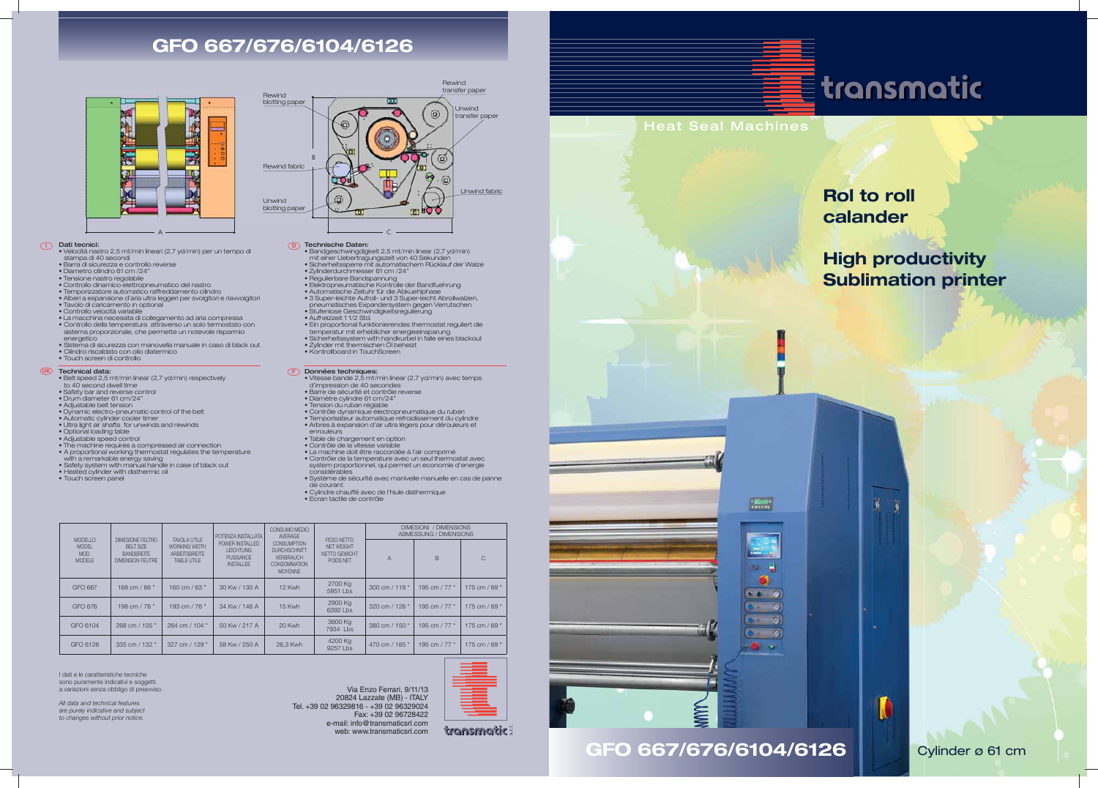Heat Seal Machines



**GFO 667/676/6104/6126** Cylinder ø 61 cm

# **Rol to roll calander**

y

O

# **High productivity Sublimation printer**



# **GFO 667/676/6104/6126**



- **I Dati tecnici:**<br>• Velocità nastro 2,5 mt/min lineari (2,7 yd/min) per un tempo di
	- stampa di 40 secondi Barra di sicurezza e controllo reverse
	- Diametro cilindro 61 cm /24" Tensione nastro regolabile
	-
	- Controllo dinamico elettropneumatico del nastro Temporizzatore automatico raffreddamento cilindro
	- Alberi a espansione d'aria ultra leggeri per svolgitori e riavvolgitori
	- Tavolo di caricamento in optional
	- Controllo velocità variabile
	-
	- La macchina necessita di collegamento ad aria compressa Controllo della temperatura attraverso un solo termostato con
	- sistema proporzionale, che permette un notevole risparmio energetico
	- Sistema di sicurezza con manovella manuale in caso di black out Cilindro riscaldato con olio diatermico
	-
	- Touch screen di controllo

- **UK Technical data:**  $\qquad \qquad \bullet$  Belt speed 2,5 mt/min linear (2,7 yd/min) respectively
	- to 40 second dwell time Safety bar and reverse control
	-
	- Drum diameter 61 cm/24" Adjustable belt tension
	-
	- Dynamic electro-pneumatic control of the belt
	- Automatic cylinder cooler timer Ultra light air shafts for unwinds and rewinds
	-
	- Optional loading table Adjustable speed control
	-
	-
	- The machine requires a compressed air connection A proportional working thermostat regulates the temperature
	- with a remarkable energy saving Safety system with manual handle in case of black out
	-
	- Heated cylinder with diathermic oil
	- Touch screen panel
- **Données techniques:**<br>• Vitesse bande 2,5 mt/min linear (2,7 yd/min) avec temps d'impression de 40 secondes
- Barre de sécurité et contrôle reverse
- Diamètre cylindre 61 cm/24"
- 
- Tension du ruban réglable Contrôle dynamique électropneumatique du ruban
- Temporisateur automatique refroidissement du cylindre Arbres à expansion d'air ultra légers pour dérouleurs et
- 
- enrouleurs Table de chargement en option
- 
- Contrôle de la vitesse variable La machine doit être raccordée à l'air comprimé
- Contrôle de la temperature avec un seul thermostat avec system proportionnel, qui permet un economie d'energie considérables
- Système de sécurité avec manivelle manuelle en cas de panne de courant
- Cylindre chauffé avec de l'hiule diathermique
- Ecran tactile de contrôle

## Technische Daten:

- Bandgeschwingdigkeit 2,5 mt/min linear (2,7 yd/min)
- mit einer Uebertragungszeit von 40 Sekunden Sicherheitssperre mit automatischem Rücklauf der Walze
- 
- 
- 
- Zylinderdurchmesser 61 cm /24" Regulierbare Bandspannung Elektropneumatische Kontrolle der Bandfuehrung Automatische Zeituhr für die Abkuehlphase
- 3 Super-leichte Aufroll- und 3 Super-leicht Abrollwalzen, pneumatisches Expandersystem gegen Verrutschen Stufenlose Geschwindigkeitsregulierung Aufheizzeit 1 1/2 Std.
- 
- 
- 
- Zylinder mit thermischen Öl beheizt
- Kontrollboard in TouchScreen
- 

• Ein proportional funktionierendes thermostat reguliert die temperatur mit erheblicher energieeinsparung • Sicherheitssystem with handkurbel in falle eines blackout



Via Enzo Ferrari, 9/11/13 20824 Lazzate (MB) - ITALY Tel. +39 02 96329816 - +39 02 96329024 Fax: +39 02 96728422 e-mail: info@transmaticsrl.com web: www.transmaticsrl.com



transmatic:





 $\sqrt{2}$ 



| <b>MODELLO</b><br><b>MODEL</b><br>MOD.<br><b>MODELE</b> | <b>DIMESIONE FELTRO</b><br>BFIT SIZE<br><b>BANDBREITE</b><br>DIMENSION FEUTRE | TAVOI A UTILE<br><b>WORKING WIDTH</b><br><b>ARBEITSBREITE</b><br>TABLE UTILE | POTENZA INSTALLATA<br>POWER INSTALLED<br><b>LEICHTUNG</b><br><b>PUISSANCE</b><br><b>INSTALLEE</b> | CONSUMO MEDIO<br><b>AVERAGE</b><br><b>CONSUMPTION</b><br><b>DURCHSCHNITT</b><br><b>VERBRAUCH</b><br><b>CONSOMMATION</b><br><b>MOYENNE</b> | PESO NETTO<br><b>NET WEIGHT</b><br>NETTO GEWICHT<br>POIDS NET | <b>DIMESIONI / DIMENSIONS</b><br>ABMESSUNG / DIMENSIONS |               |                 |
|---------------------------------------------------------|-------------------------------------------------------------------------------|------------------------------------------------------------------------------|---------------------------------------------------------------------------------------------------|-------------------------------------------------------------------------------------------------------------------------------------------|---------------------------------------------------------------|---------------------------------------------------------|---------------|-----------------|
|                                                         |                                                                               |                                                                              |                                                                                                   |                                                                                                                                           |                                                               | $\overline{A}$                                          | B             | C               |
| GFO 667                                                 | 168 cm / 66 "                                                                 | 160 cm / 63 "                                                                | 30 Kw / 130 A                                                                                     | 12 Kwh                                                                                                                                    | 2700 Kg<br>5951 Lbs                                           | 300 cm / 118 "                                          | 195 cm / 77 " | 175 cm / 69 $"$ |
| GFO 676                                                 | 198 cm / 78 "                                                                 | 193 cm / $76"$                                                               | 34 Kw / 146 A                                                                                     | 15 Kwh                                                                                                                                    | 2900 Kg<br>6392 Lbs                                           | 320 cm / 126 "                                          | 195 cm / 77 " | 175 cm / 69 "   |
| GFO 6104                                                | 268 cm / 105 "                                                                | 264 cm / 104 "                                                               | 50 Kw / 217 A                                                                                     | 20 Kwh                                                                                                                                    | 3600 Kg<br>7934 Lbs                                           | 380 cm / 150 "                                          | 195 cm / 77 " | 175 cm / 69 "   |
| GFO 6126                                                | 335 cm / 132 "                                                                | 327 cm / 129 "                                                               | 58 Kw / 250 A                                                                                     | 26.3 Kwh                                                                                                                                  | 4200 Kg<br>$9257$ Lbs                                         | 470 cm / 185 "                                          | 195 cm / 77 " | 175 cm / 69 "   |

I dati e le caratteristiche tecniche sono puramente indicativi e soggetti a variazioni senza obbligo di preavviso

All data and technical features are purely indicative and subject *to changes without prior notice.*